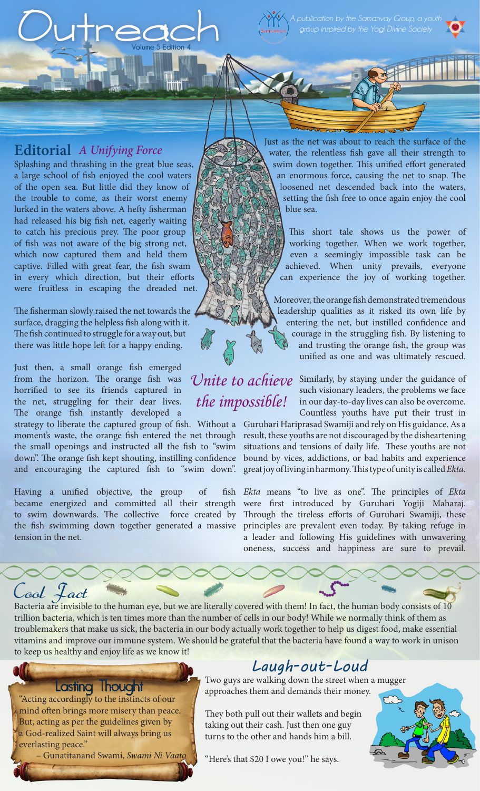*group inspired by the Yogi Divine Society* 

### **Editorial** *A Unifying Force*

Splashing and thrashing in the great blue seas, a large school of fish enjoyed the cool waters of the open sea. But little did they know of the trouble to come, as their worst enemy lurked in the waters above. A hefty fisherman had released his big fish net, eagerly waiting to catch his precious prey. The poor group of fish was not aware of the big strong net, which now captured them and held them captive. Filled with great fear, the fish swam in every which direction, but their efforts were fruitless in escaping the dreaded net.

**Volume 5 Edition 4**

 $Outrec<sub>Volume 5 Edition 4</sub>$ 

The fisherman slowly raised the net towards the surface, dragging the helpless fish along with it. The fish continued to struggle for a way out, but there was little hope left for a happy ending.

Just then, a small orange fish emerged from the horizon. The orange fish was horrified to see its friends captured in the net, struggling for their dear lives. The orange fish instantly developed a

and encouraging the captured fish to "swim down". great joy of living in harmony. This type of unity is called *Ekta*.

Having a unified objective, the group of became energized and committed all their strength were first introduced by Guruhari Yogiji Maharaj. tension in the net.

## Cool Fact

Bacteria are invisible to the human eye, but we are literally covered with them! In fact, the human body consists of 10 trillion bacteria, which is ten times more than the number of cells in our body! While we normally think of them as troublemakers that make us sick, the bacteria in our body actually work together to help us digest food, make essential vitamins and improve our immune system. We should be grateful that the bacteria have found a way to work in unison to keep us healthy and enjoy life as we know it!

#### Lasting Thought

"Acting accordingly to the instincts of our mind often brings more misery than peace. But, acting as per the guidelines given by a God-realized Saint will always bring us everlasting peace."

– Gunatitanand Swami, *Swami Ni Vaato*

*the impossible!*

Just as the net was about to reach the surface of the water, the relentless fish gave all their strength to swim down together. This unified effort generated an enormous force, causing the net to snap. The loosened net descended back into the waters, setting the fish free to once again enjoy the cool blue sea.

This short tale shows us the power of working together. When we work together, even a seemingly impossible task can be achieved. When unity prevails, everyone can experience the joy of working together.

Moreover, the orange fish demonstrated tremendous leadership qualities as it risked its own life by entering the net, but instilled confidence and courage in the struggling fish. By listening to and trusting the orange fish, the group was unified as one and was ultimately rescued.

Unite to achieve Similarly, by staying under the guidance of such visionary leaders, the problems we face in our day-to-day lives can also be overcome. Countless youths have put their trust in

strategy to liberate the captured group of fish. Without a Guruhari Hariprasad Swamiji and rely on His guidance. As a moment's waste, the orange fish entered the net through) result, these youths are not discouraged by the disheartening the small openings and instructed all the fish to "swim situations and tensions of daily life. These youths are not down". The orange fish kept shouting, instilling confidence bound by vices, addictions, or bad habits and experience

to swim downwards. The collective force created by Through the tireless efforts of Guruhari Swamiji, these the fish swimming down together generated a massive principles are prevalent even today. By taking refuge in *Ekta* means "to live as one". The principles of *Ekta*  a leader and following His guidelines with unwavering oneness, success and happiness are sure to prevail.

### *Laugh-out-Loud*

Two guys are walking down the street when a mugger approaches them and demands their money.

They both pull out their wallets and begin taking out their cash. Just then one guy turns to the other and hands him a bill.

"Here's that \$20 I owe you!" he says.